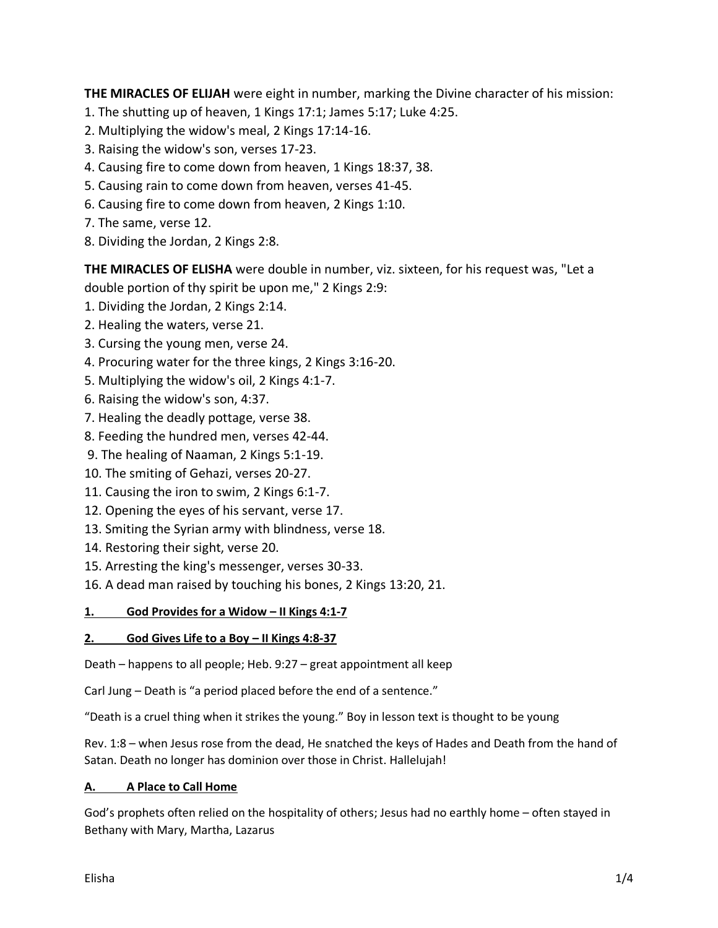**THE MIRACLES OF ELIJAH** were eight in number, marking the Divine character of his mission:

- 1. The shutting up of heaven, 1 Kings 17:1; James 5:17; Luke 4:25.
- 2. Multiplying the widow's meal, 2 Kings 17:14-16.
- 3. Raising the widow's son, verses 17-23.
- 4. Causing fire to come down from heaven, 1 Kings 18:37, 38.
- 5. Causing rain to come down from heaven, verses 41-45.
- 6. Causing fire to come down from heaven, 2 Kings 1:10.
- 7. The same, verse 12.
- 8. Dividing the Jordan, 2 Kings 2:8.

**THE MIRACLES OF ELISHA** were double in number, viz. sixteen, for his request was, "Let a double portion of thy spirit be upon me," 2 Kings 2:9:

- 1. Dividing the Jordan, 2 Kings 2:14.
- 2. Healing the waters, verse 21.
- 3. Cursing the young men, verse 24.
- 4. Procuring water for the three kings, 2 Kings 3:16-20.
- 5. Multiplying the widow's oil, 2 Kings 4:1-7.
- 6. Raising the widow's son, 4:37.
- 7. Healing the deadly pottage, verse 38.
- 8. Feeding the hundred men, verses 42-44.
- 9. The healing of Naaman, 2 Kings 5:1-19.
- 10. The smiting of Gehazi, verses 20-27.
- 11. Causing the iron to swim, 2 Kings 6:1-7.
- 12. Opening the eyes of his servant, verse 17.
- 13. Smiting the Syrian army with blindness, verse 18.
- 14. Restoring their sight, verse 20.
- 15. Arresting the king's messenger, verses 30-33.
- 16. A dead man raised by touching his bones, 2 Kings 13:20, 21.

# **1. God Provides for a Widow – II Kings 4:1-7**

# **2. God Gives Life to a Boy – II Kings 4:8-37**

Death – happens to all people; Heb. 9:27 – great appointment all keep

Carl Jung – Death is "a period placed before the end of a sentence."

"Death is a cruel thing when it strikes the young." Boy in lesson text is thought to be young

Rev. 1:8 – when Jesus rose from the dead, He snatched the keys of Hades and Death from the hand of Satan. Death no longer has dominion over those in Christ. Hallelujah!

# **A. A Place to Call Home**

God's prophets often relied on the hospitality of others; Jesus had no earthly home – often stayed in Bethany with Mary, Martha, Lazarus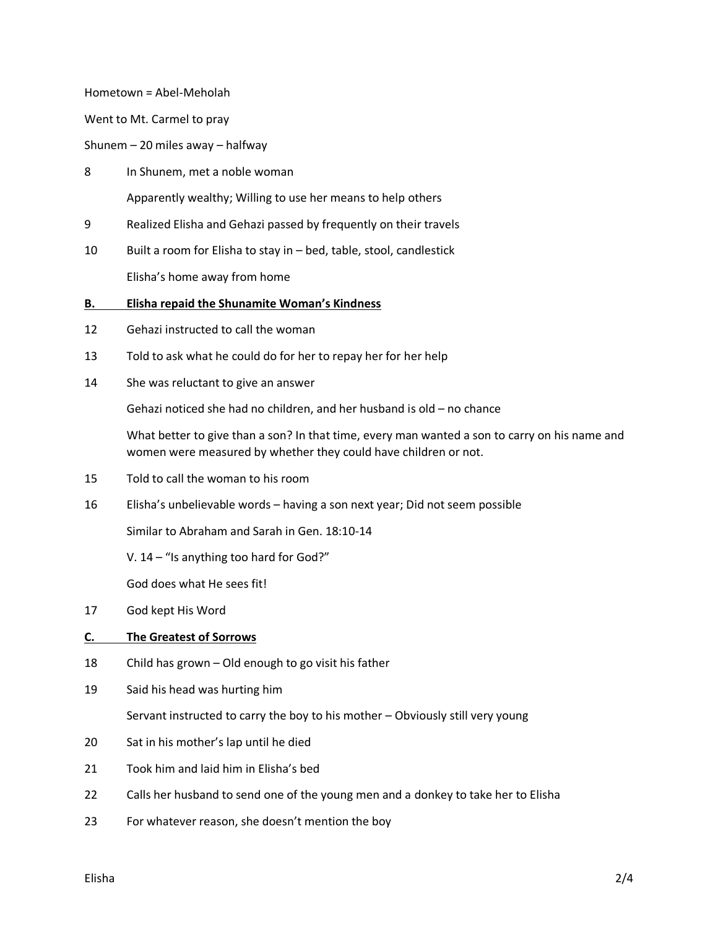Hometown = Abel-Meholah

Went to Mt. Carmel to pray

Shunem – 20 miles away – halfway

- 8 In Shunem, met a noble woman Apparently wealthy; Willing to use her means to help others
- 9 Realized Elisha and Gehazi passed by frequently on their travels
- 10 Built a room for Elisha to stay in bed, table, stool, candlestick Elisha's home away from home

#### **B. Elisha repaid the Shunamite Woman's Kindness**

- 12 Gehazi instructed to call the woman
- 13 Told to ask what he could do for her to repay her for her help
- 14 She was reluctant to give an answer

Gehazi noticed she had no children, and her husband is old – no chance

What better to give than a son? In that time, every man wanted a son to carry on his name and women were measured by whether they could have children or not.

- 15 Told to call the woman to his room
- 16 Elisha's unbelievable words having a son next year; Did not seem possible

Similar to Abraham and Sarah in Gen. 18:10-14

V. 14 – "Is anything too hard for God?"

God does what He sees fit!

17 God kept His Word

### **C. The Greatest of Sorrows**

- 18 Child has grown Old enough to go visit his father
- 19 Said his head was hurting him

Servant instructed to carry the boy to his mother – Obviously still very young

- 20 Sat in his mother's lap until he died
- 21 Took him and laid him in Elisha's bed
- 22 Calls her husband to send one of the young men and a donkey to take her to Elisha
- 23 For whatever reason, she doesn't mention the boy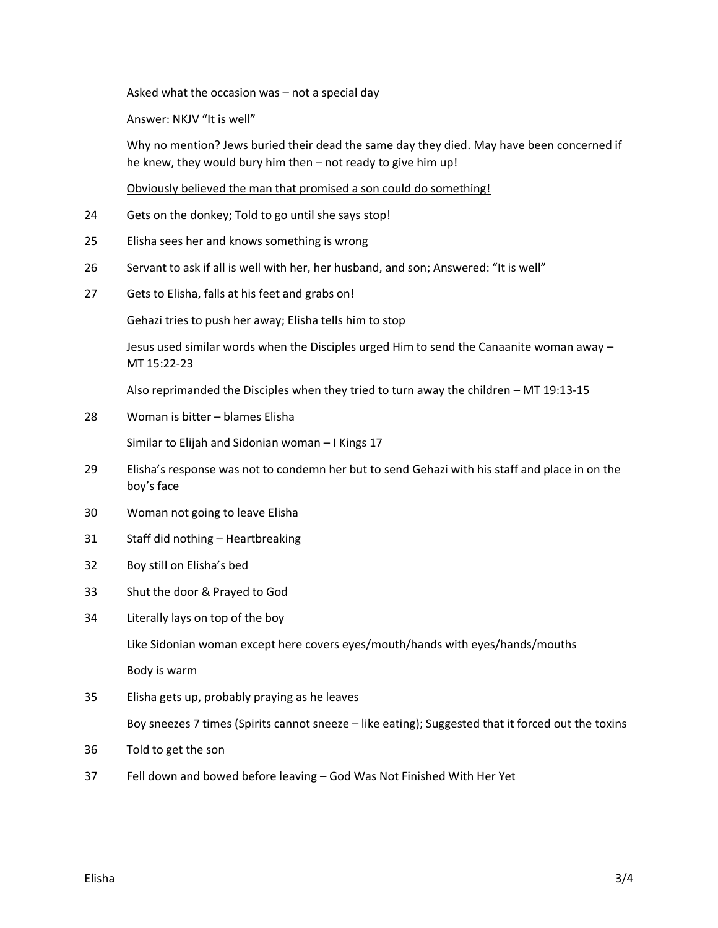Asked what the occasion was – not a special day

Answer: NKJV "It is well"

Why no mention? Jews buried their dead the same day they died. May have been concerned if he knew, they would bury him then – not ready to give him up!

Obviously believed the man that promised a son could do something!

- 24 Gets on the donkey; Told to go until she says stop!
- 25 Elisha sees her and knows something is wrong
- 26 Servant to ask if all is well with her, her husband, and son; Answered: "It is well"
- 27 Gets to Elisha, falls at his feet and grabs on!

Gehazi tries to push her away; Elisha tells him to stop

Jesus used similar words when the Disciples urged Him to send the Canaanite woman away – MT 15:22-23

Also reprimanded the Disciples when they tried to turn away the children – MT 19:13-15

28 Woman is bitter – blames Elisha

Similar to Elijah and Sidonian woman – I Kings 17

- 29 Elisha's response was not to condemn her but to send Gehazi with his staff and place in on the boy's face
- 30 Woman not going to leave Elisha
- 31 Staff did nothing Heartbreaking
- 32 Boy still on Elisha's bed
- 33 Shut the door & Prayed to God
- 34 Literally lays on top of the boy

Like Sidonian woman except here covers eyes/mouth/hands with eyes/hands/mouths

Body is warm

35 Elisha gets up, probably praying as he leaves

Boy sneezes 7 times (Spirits cannot sneeze – like eating); Suggested that it forced out the toxins

- 36 Told to get the son
- 37 Fell down and bowed before leaving God Was Not Finished With Her Yet